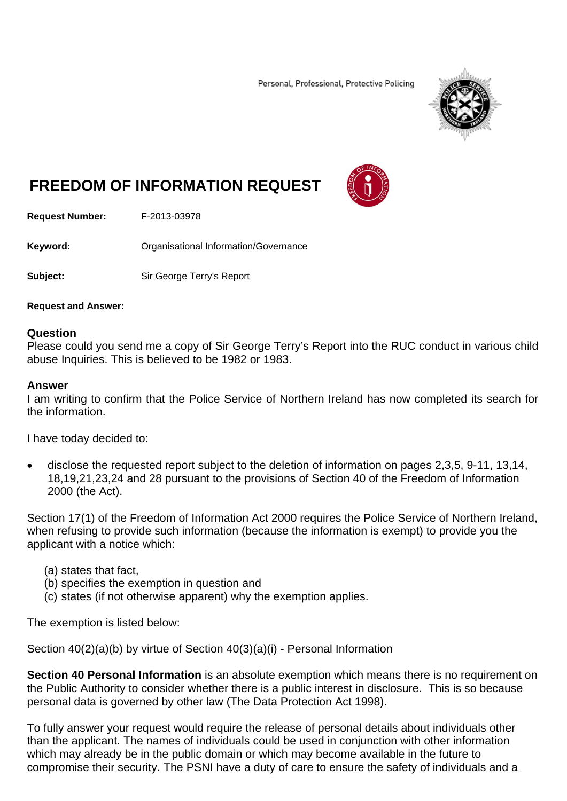Personal, Professional, Protective Policing



# **FREEDOM OF INFORMATION REQUEST**



**Request Number:** F-2013-03978

**Keyword: Cranisational Information/Governance** 

**Subject:** Sir George Terry's Report

**Request and Answer:** 

# **Question**

Please could you send me a copy of Sir George Terry's Report into the RUC conduct in various child abuse Inquiries. This is believed to be 1982 or 1983.

# **Answer**

I am writing to confirm that the Police Service of Northern Ireland has now completed its search for the information.

I have today decided to:

 disclose the requested report subject to the deletion of information on pages 2,3,5, 9-11, 13,14, 18,19,21,23,24 and 28 pursuant to the provisions of Section 40 of the Freedom of Information 2000 (the Act).

Section 17(1) of the Freedom of Information Act 2000 requires the Police Service of Northern Ireland, when refusing to provide such information (because the information is exempt) to provide you the applicant with a notice which:

- (a) states that fact,
- (b) specifies the exemption in question and
- (c) states (if not otherwise apparent) why the exemption applies.

The exemption is listed below:

Section 40(2)(a)(b) by virtue of Section 40(3)(a)(i) - Personal Information

**Section 40 Personal Information** is an absolute exemption which means there is no requirement on the Public Authority to consider whether there is a public interest in disclosure. This is so because personal data is governed by other law (The Data Protection Act 1998).

To fully answer your request would require the release of personal details about individuals other than the applicant. The names of individuals could be used in conjunction with other information which may already be in the public domain or which may become available in the future to compromise their security. The PSNI have a duty of care to ensure the safety of individuals and a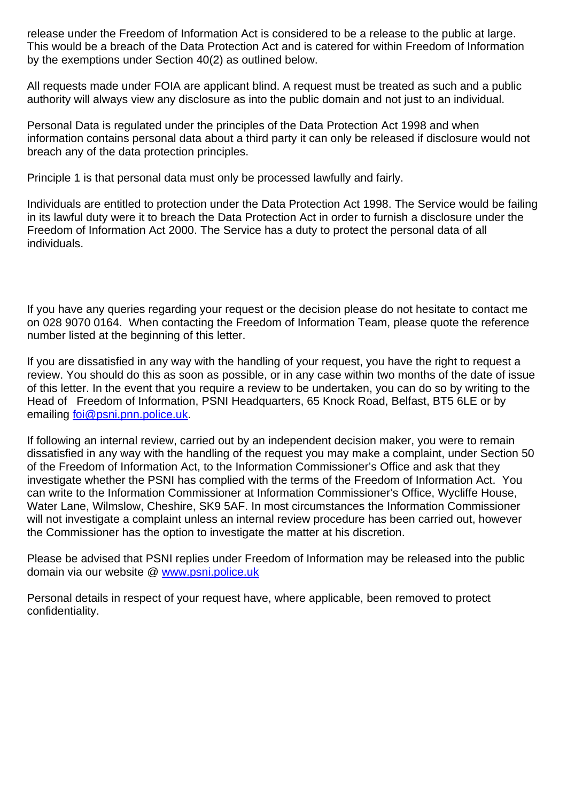release under the Freedom of Information Act is considered to be a release to the public at large. This would be a breach of the Data Protection Act and is catered for within Freedom of Information by the exemptions under Section 40(2) as outlined below.

All requests made under FOIA are applicant blind. A request must be treated as such and a public authority will always view any disclosure as into the public domain and not just to an individual.

Personal Data is regulated under the principles of the Data Protection Act 1998 and when information contains personal data about a third party it can only be released if disclosure would not breach any of the data protection principles.

Principle 1 is that personal data must only be processed lawfully and fairly.

Individuals are entitled to protection under the Data Protection Act 1998. The Service would be failing in its lawful duty were it to breach the Data Protection Act in order to furnish a disclosure under the Freedom of Information Act 2000. The Service has a duty to protect the personal data of all individuals.

If you have any queries regarding your request or the decision please do not hesitate to contact me on 028 9070 0164. When contacting the Freedom of Information Team, please quote the reference number listed at the beginning of this letter.

If you are dissatisfied in any way with the handling of your request, you have the right to request a review. You should do this as soon as possible, or in any case within two months of the date of issue of this letter. In the event that you require a review to be undertaken, you can do so by writing to the Head of Freedom of Information, PSNI Headquarters, 65 Knock Road, Belfast, BT5 6LE or by emailing foi@psni.pnn.police.uk.

If following an internal review, carried out by an independent decision maker, you were to remain dissatisfied in any way with the handling of the request you may make a complaint, under Section 50 of the Freedom of Information Act, to the Information Commissioner's Office and ask that they investigate whether the PSNI has complied with the terms of the Freedom of Information Act. You can write to the Information Commissioner at Information Commissioner's Office, Wycliffe House, Water Lane, Wilmslow, Cheshire, SK9 5AF. In most circumstances the Information Commissioner will not investigate a complaint unless an internal review procedure has been carried out, however the Commissioner has the option to investigate the matter at his discretion.

Please be advised that PSNI replies under Freedom of Information may be released into the public domain via our website @ www.psni.police.uk

Personal details in respect of your request have, where applicable, been removed to protect confidentiality.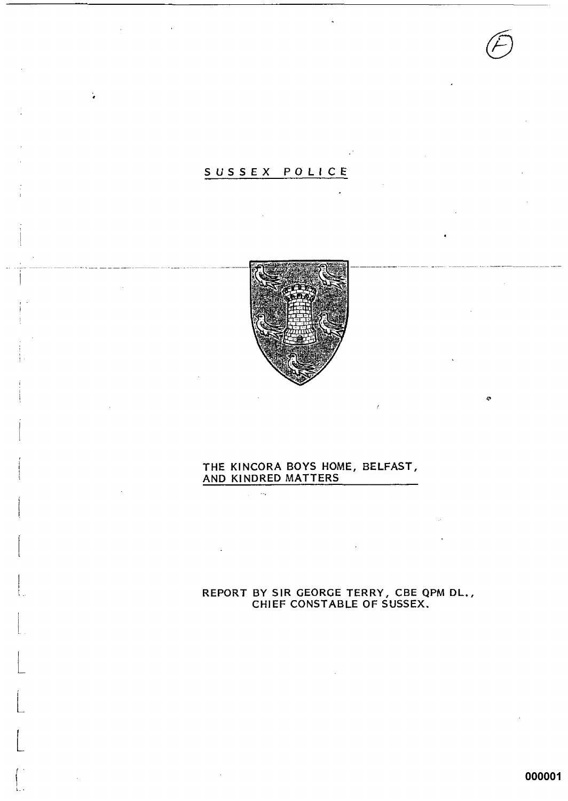# SUSSEX POLICE



 $\ddot{\phantom{a}}$ 

# THE KINCORA BOYS HOME, BELFAST, AND KINDRED MATTERS

 $\mathcal{L}^{\text{max}}_{\text{max}}$  , where  $\mathcal{L}^{\text{max}}_{\text{max}}$ 

REPORT BY SIR GEORGE TERRY, CBE QPM DL.,<br>CHIEF CONSTABLE OF SUSSEX.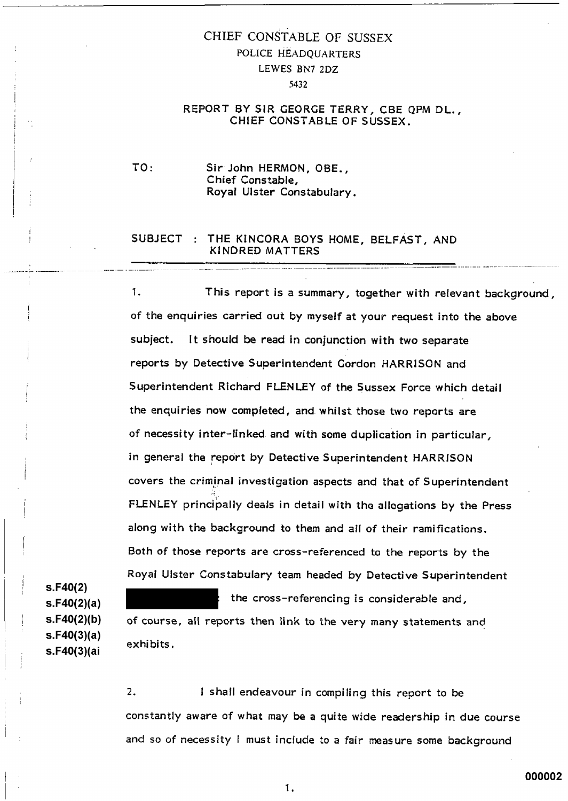# CHIEF CONSTABLE OF SUSSEX POLICE HEADQUARTERS LEWES BN7 2DZ 5432

#### REPORT BY SIR GEORGE TERRY, CBE QPM DL., CHIEF CONSTABLE OF SUSSEX.

 $TO:$ Sir John HERMON, OBE.. Chief Constable, Royal Ulster Constabulary.

## SUBJECT : THE KINCORA BOYS HOME, BELFAST, AND KINDRED MATTERS

1. This report is a summary, together with relevant background, of the enquiries carried out by myself at your request into the above subiect. It should be read in conjunction with two separate reports by Detective Superintendent Gordon HARRISON and Superintendent Richard FLENLEY of the Sussex Force which detail the enquiries now completed, and whilst those two reports are of necessity inter-linked and with some duplication in particular, in general the report by Detective Superintendent HARRISON covers the criminal investigation aspects and that of Superintendent FLENLEY principally deals in detail with the allegations by the Press along with the background to them and all of their ramifications. Both of those reports are cross-referenced to the reports by the Royal Ulster Constabulary team headed by Detective Superintendent

 $s.F40(2)$  $s.F40(2)(a)$  $s.F40(2)(b)$  $s.F40(3)(a)$ s.F40(3)(ai

exhibits.

the cross-referencing is considerable and, of course, all reports then link to the very many statements and

 $2.$ I shall endeavour in compiling this report to be constantly aware of what may be a quite wide readership in due course and so of necessity I must include to a fair measure some background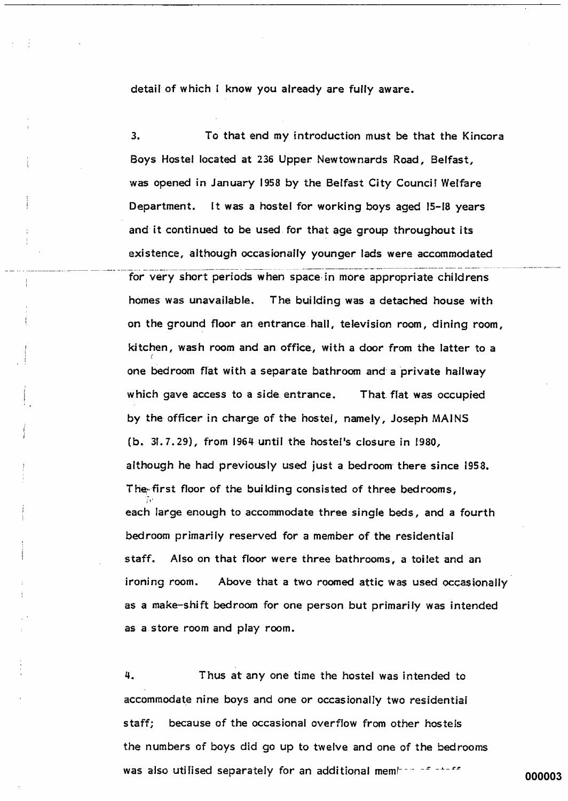detail of which I know you already are fully aware.

3. To that end my introduction must be that the Kincora Boys Hostel located at 236 Upper Newtownards Road, Belfast, was opened in January 1958 by the Belfast City Council Welfare Department. It was a hostel for working boys aged 15-18 years and it continued to be used for that age group throughout its existence, although occasionally younger lads were accommodated for very short periods when space in more appropriate childrens The building was a detached house with homes was unavailable. on the ground floor an entrance hall, television room, dining room, kitchen, wash room and an office, with a door from the latter to a one bedroom flat with a separate bathroom and a private hallway which gave access to a side entrance. That flat was occupied by the officer in charge of the hostel, namely, Joseph MAINS (b. 31.7.29), from 1964 until the hostel's closure in 1980, although he had previously used just a bedroom there since 1958. The first floor of the building consisted of three bedrooms, each large enough to accommodate three single beds, and a fourth bedroom primarily reserved for a member of the residential staff. Also on that floor were three bathrooms, a toilet and an ironing room. Above that a two roomed attic was used occasionally as a make-shift bedroom for one person but primarily was intended as a store room and play room.

4. Thus at any one time the hostel was intended to accommodate nine boys and one or occasionally two residential because of the occasional overflow from other hostels staff: the numbers of boys did go up to twelve and one of the bedrooms was also utilised separately for an additional member of these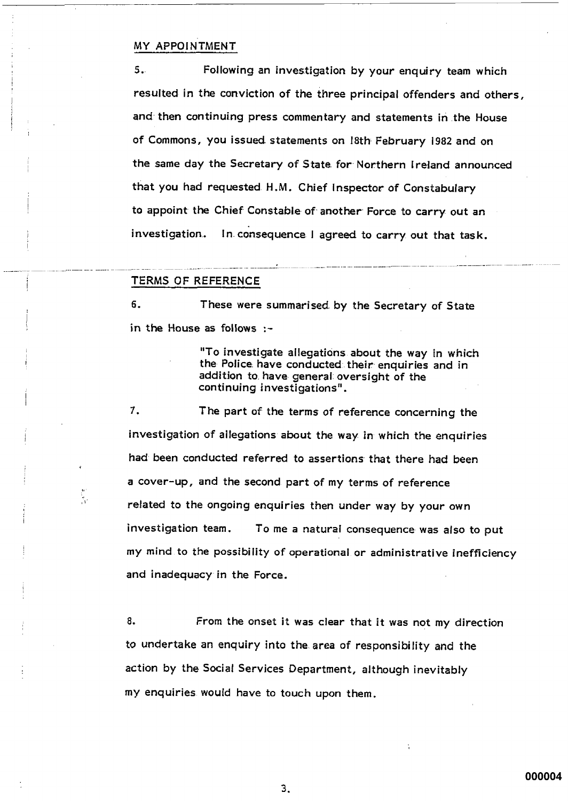#### MY APPOINTMENT

Following an investigation by your enquiry team which  $5.$ resulted in the conviction of the three principal offenders and others, and then continuing press commentary and statements in the House of Commons, you issued statements on 18th February 1982 and on the same day the Secretary of State for Northern Ireland announced that you had requested H.M. Chief Inspector of Constabulary to appoint the Chief Constable of another Force to carry out an investigation. In consequence I agreed to carry out that task.

#### TERMS OF REFERENCE

у.

6. These were summarised by the Secretary of State in the House as follows :-

> "To investigate allegations about the way in which the Police have conducted their enquiries and in addition to have general oversight of the continuing investigations".

 $7.$ The part of the terms of reference concerning the investigation of allegations about the way in which the enquiries had been conducted referred to assertions that there had been a cover-up, and the second part of my terms of reference related to the ongoing enquiries then under way by your own investigation team. To me a natural consequence was also to put my mind to the possibility of operational or administrative inefficiency and inadequacy in the Force.

8. From the onset it was clear that it was not my direction to undertake an enquiry into the area of responsibility and the action by the Social Services Department, although inevitably my enquiries would have to touch upon them.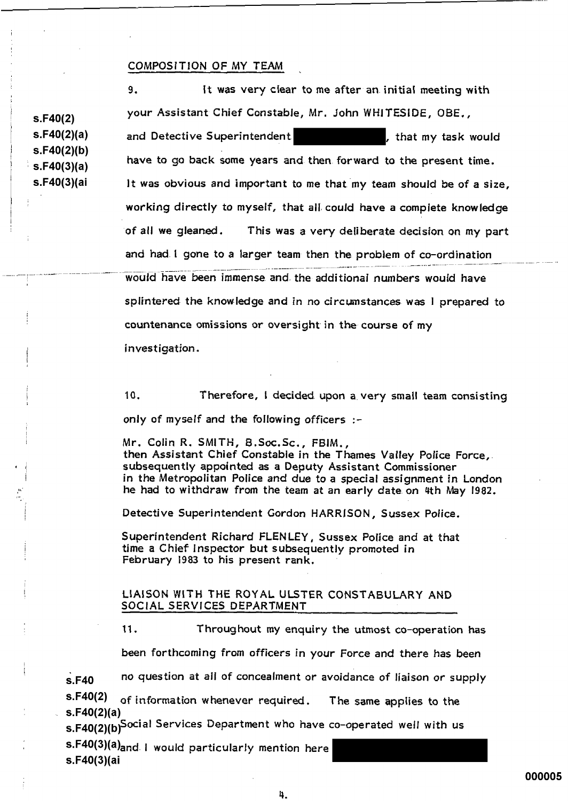#### COMPOSITION OF MY TEAM

 $S.F40(2)$  $s.F40(2)(a)$  $s.F40(2)(b)$  $s.F40(3)(a)$ s.F40(3)(ai

It was very clear to me after an initial meeting with 9. your Assistant Chief Constable, Mr. John WHITESIDE, OBE., and Detective Superintendent that my task would have to go back some years and then forward to the present time. It was obvious and important to me that my team should be of a size. working directly to myself, that all could have a complete knowledge of all we gleaned. This was a very deliberate decision on my part

and had I gone to a larger team then the problem of co-ordination

would have been immense and the additional numbers would have splintered the knowledge and in no circumstances was I prepared to countenance omissions or oversight in the course of my

investigation.

 $10.$ Therefore, I decided upon a very small team consisting only of myself and the following officers :-

Mr. Colin R. SMITH, B.Soc.Sc., FBIM., then Assistant Chief Constable in the Thames Valley Police Force,. subsequently appointed as a Deputy Assistant Commissioner in the Metropolitan Police and due to a special assignment in London he had to withdraw from the team at an early date on 4th May 1982.

Detective Superintendent Gordon HARRISON, Sussex Police,

Superintendent Richard FLENLEY, Sussex Police and at that time a Chief Inspector but subsequently promoted in February 1983 to his present rank.

#### LIAISON WITH THE ROYAL ULSTER CONSTABULARY AND SOCIAL SERVICES DEPARTMENT

Throughout my enquiry the utmost co-operation has  $11.$ 

been forthcoming from officers in your Force and there has been

no question at all of concealment or avoidance of liaison or supply  $s.F40$  $s.F40(2)$ 

of information whenever required. The same applies to the  $s.F40(2)(a)$ 

s.F40(2)(b)Social Services Department who have co-operated well with us

s.F40(3)(a)<sub>and</sub> I would particularly mention here s.F40(3)(ai

000005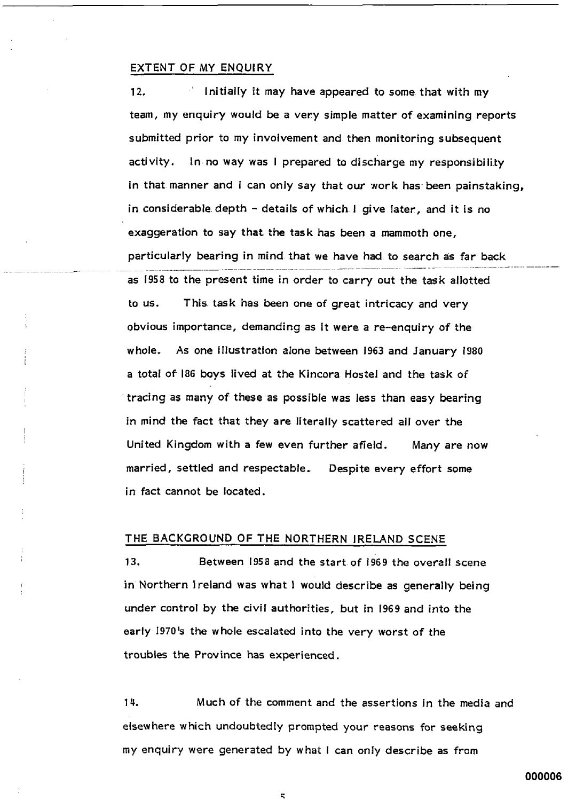#### EXTENT OF MY ENQUIRY

Initially it may have appeared to some that with my  $12.$ team, my enquiry would be a very simple matter of examining reports submitted prior to my involvement and then monitoring subsequent activity. In no way was I prepared to discharge my responsibility in that manner and I can only say that our work has been painstaking. in considerable depth  $\sim$  details of which I give later, and it is no exaggeration to say that the task has been a mammoth one, particularly bearing in mind that we have had to search as far back as 1958 to the present time in order to carry out the task allotted This task has been one of great intricacy and very to us. obvious importance, demanding as it were a re-enquiry of the whole. As one illustration alone between 1963 and January 1980 a total of 186 boys lived at the Kincora Hostel and the task of tracing as many of these as possible was less than easy bearing in mind the fact that they are literally scattered all over the United Kingdom with a few even further afield. Many are now married, settled and respectable. Despite every effort some in fact cannot be located.

## THE BACKGROUND OF THE NORTHERN IRELAND SCENE

 $13.$ Between 1958 and the start of 1969 the overall scene in Northern Ireland was what I would describe as generally being under control by the civil authorities, but in 1969 and into the early 1970's the whole escalated into the very worst of the troubles the Province has experienced.

14. Much of the comment and the assertions in the media and elsewhere which undoubtedly prompted your reasons for seeking my enquiry were generated by what I can only describe as from

000006

 $\mathbf{r}_i$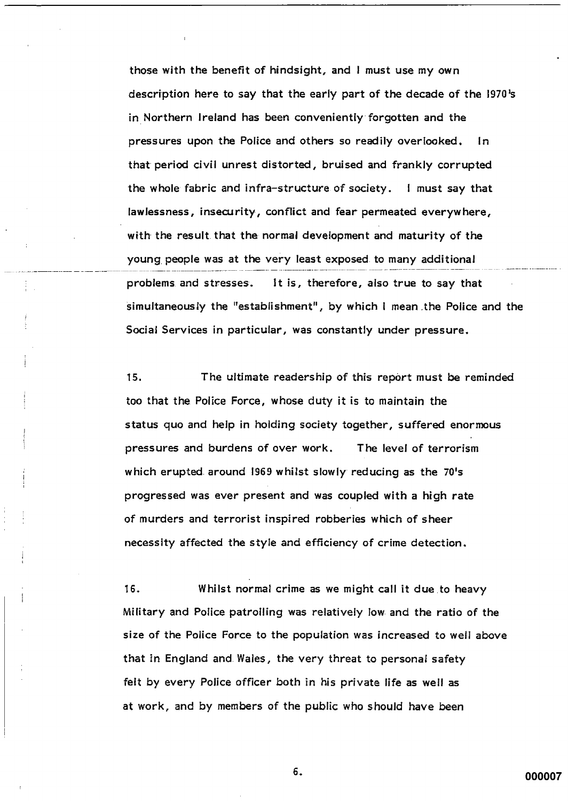those with the benefit of hindsight, and I must use my own description here to say that the early part of the decade of the 1970's in Northern Ireland has been conveniently forgotten and the pressures upon the Police and others so readily overlooked.  $In$ that period civil unrest distorted, bruised and frankly corrupted the whole fabric and infra-structure of society. I must say that lawlessness, insecurity, conflict and fear permeated everywhere, with the result that the normal development and maturity of the young people was at the very least exposed to many additional It is, therefore, also true to say that problems and stresses. simultaneously the "establishment", by which I mean the Police and the Social Services in particular, was constantly under pressure.

15. The ultimate readership of this report must be reminded too that the Police Force, whose duty it is to maintain the status quo and help in holding society together, suffered enormous pressures and burdens of over work. The level of terrorism which erupted around 1969 whilst slowly reducing as the 70's progressed was ever present and was coupled with a high rate of murders and terrorist inspired robberies which of sheer necessity affected the style and efficiency of crime detection.

16. Whilst normal crime as we might call it due to heavy Military and Police patrolling was relatively low and the ratio of the size of the Police Force to the population was increased to well above that in England and Wales, the very threat to personal safety felt by every Police officer both in his private life as well as at work, and by members of the public who should have been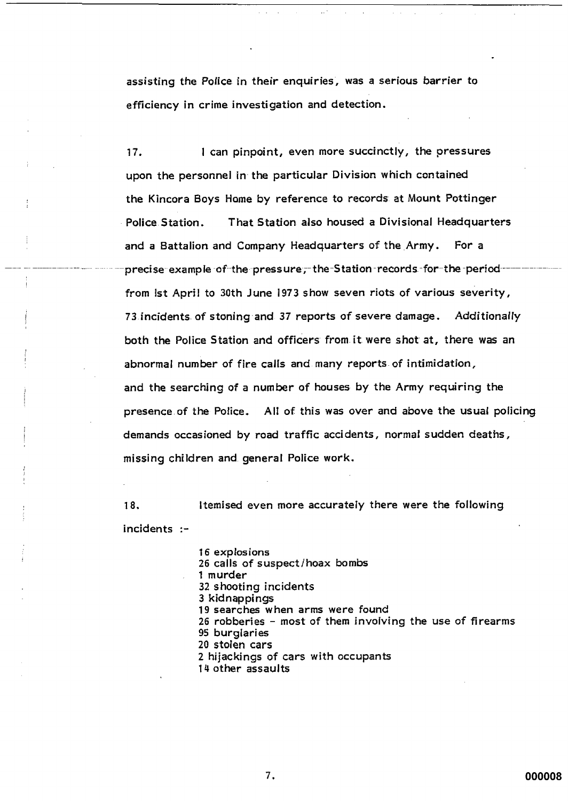assisting the Police in their enquiries, was a serious barrier to efficiency in crime investigation and detection.

I can pinpoint, even more succinctly, the pressures  $17.$ upon the personnel in the particular Division which contained the Kincora Boys Home by reference to records at Mount Pottinger Police Station. That Station also housed a Divisional Headquarters and a Battalion and Company Headquarters of the Army. For a precise example of the pressure, the Station records for the periodfrom lst April to 30th June 1973 show seven riots of various severity, 73 incidents of stoning and 37 reports of severe damage. Additionally both the Police Station and officers from it were shot at, there was an abnormal number of fire calls and many reports of intimidation, and the searching of a number of houses by the Army requiring the presence of the Police. All of this was over and above the usual policing demands occasioned by road traffic accidents, normal sudden deaths, missing children and general Police work.

18. Itemised even more accurately there were the following incidents :-

> 16 explosions 26 calls of suspect/hoax bombs 1 murder 32 shooting incidents 3 kidnappings 19 searches when arms were found 26 robberies - most of them involving the use of firearms 95 burglaries 20 stolen cars 2 hijackings of cars with occupants 14 other assaults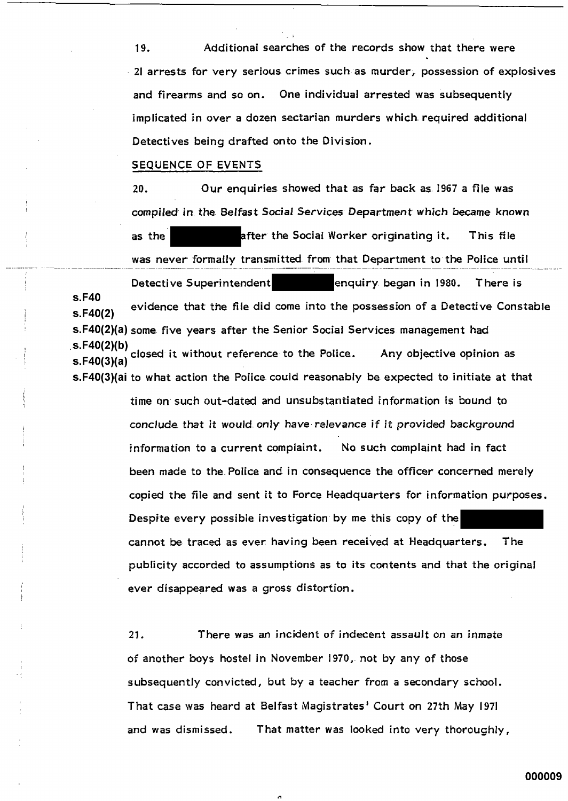19. Additional searches of the records show that there were 2I arrests for very serious crimes such as murder, possession of explosives and firearms and so on. One individual arrested was subsequently implicated in over a dozen sectarian murders which required additional Detectives being drafted onto the Division.

## SEQUENCE OF EVENTS

s.F40

 $20.$ Our enquiries showed that as far back as 1967 a file was compiled in the Belfast Social Services Department which became known after the Social Worker originating it. as the This file was never formally transmitted from that Department to the Police until Detective Superintendent enquiry began in 1980. There is evidence that the file did come into the possession of a Detective Constable  $s.F40(2)$ s.F40(2)(a) some five years after the Senior Social Services management had .s.F40(2)(b) closed it without reference to the Police. Any objective opinion as  $s.F40(3)(a)$ s.F40(3)(ai to what action the Police could reasonably be expected to initiate at that time on such out-dated and unsubstantiated information is bound to conclude that it would only have relevance if it provided background information to a current complaint. No such complaint had in fact been made to the Police and in consequence the officer concerned merely copied the file and sent it to Force Headquarters for information purposes. Despite every possible investigation by me this copy of the cannot be traced as ever having been received at Headquarters. The publicity accorded to assumptions as to its contents and that the original ever disappeared was a gross distortion.

> $21.$ There was an incident of indecent assault on an inmate of another boys hostel in November 1970, not by any of those subsequently convicted, but by a teacher from a secondary school. That case was heard at Belfast Magistrates' Court on 27th May 1971 and was dismissed. That matter was looked into very thoroughly,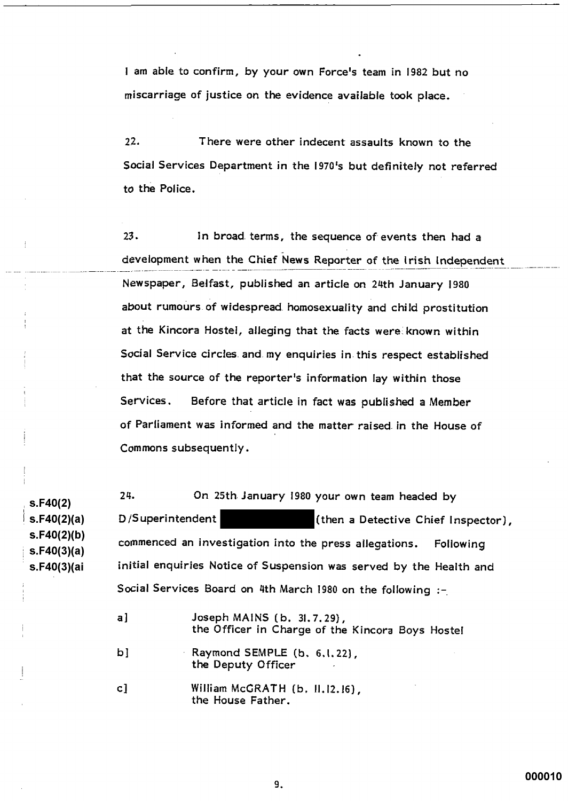I am able to confirm, by your own Force's team in 1982 but no miscarriage of justice on the evidence available took place.

 $22.$ There were other indecent assaults known to the Social Services Department in the 1970's but definitely not referred to the Police.

 $23.$ In broad terms, the sequence of events then had a development when the Chief News Reporter of the Irish Independent Newspaper, Belfast, published an article on 24th January 1980 about rumours of widespread homosexuality and child prostitution at the Kincora Hostel, alleging that the facts were known within Social Service circles and my enquiries in this respect established that the source of the reporter's information lay within those Services. Before that article in fact was published a Member of Parliament was informed and the matter raised in the House of Commons subsequently.

24. On 25th January 1980 your own team headed by  $S.F40(2)$  $s.F40(2)(a)$ D/Superintendent (then a Detective Chief Inspector),  $s.F40(2)(b)$ commenced an investigation into the press allegations. Following  $s.F40(3)(a)$ initial enquiries Notice of Suspension was served by the Health and s.F40(3)(ai Social Services Board on 4th March 1980 on the following :-

> Joseph MAINS (b. 31.7.29),  $a<sub>l</sub>$ the Officer in Charge of the Kincora Boys Hostel b] Raymond SEMPLE (b, 6, l, 22), the Deputy Officer  $c1$ William McGRATH (b. II.12.16). the House Father.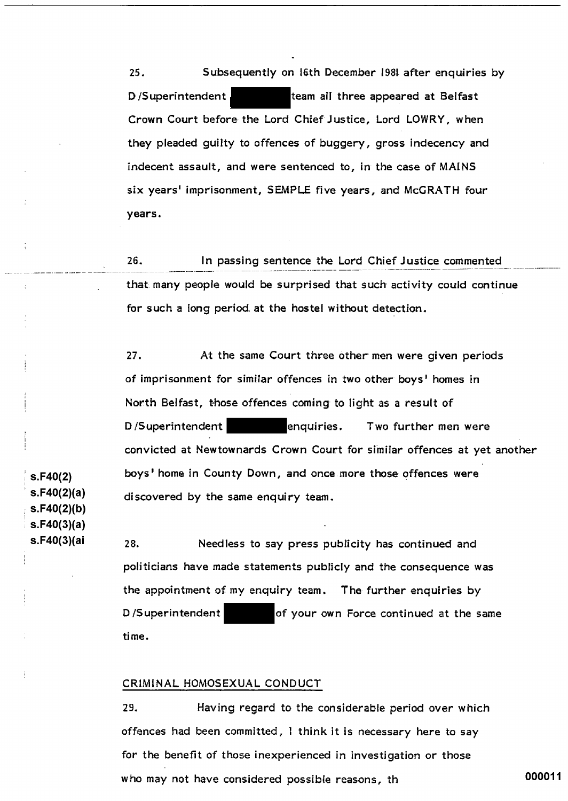Subsequently on 16th December 1981 after enquiries by  $25.$ D/Superintendent team all three appeared at Belfast Crown Court before the Lord Chief Justice, Lord LOWRY, when they pleaded guilty to offences of buggery, gross indecency and indecent assault, and were sentenced to, in the case of MAINS six years' imprisonment, SEMPLE five years, and McGRATH four vears.

 $26.$ In passing sentence the Lord Chief Justice commented that many people would be surprised that such activity could continue for such a long period at the hostel without detection.

 $27.$ At the same Court three other men were given periods of imprisonment for similar offences in two other boys' homes in North Belfast, those offences coming to light as a result of D/Superintendent enquiries. Two further men were convicted at Newtownards Crown Court for similar offences at yet another boys' home in County Down, and once more those offences were discovered by the same enquiry team.

28. Needless to say press publicity has continued and politicians have made statements publicly and the consequence was the appointment of my enquiry team. The further enquiries by D/Superintendent of your own Force continued at the same time.

#### CRIMINAL HOMOSEXUAL CONDUCT

29. Having regard to the considerable period over which offences had been committed, I think it is necessary here to say for the benefit of those inexperienced in investigation or those who may not have considered possible reasons, th

 $s.F40(2)$  $s.F40(2)(a)$  $s.F40(2)(b)$  $s.F40(3)(a)$ s.F40(3)(ai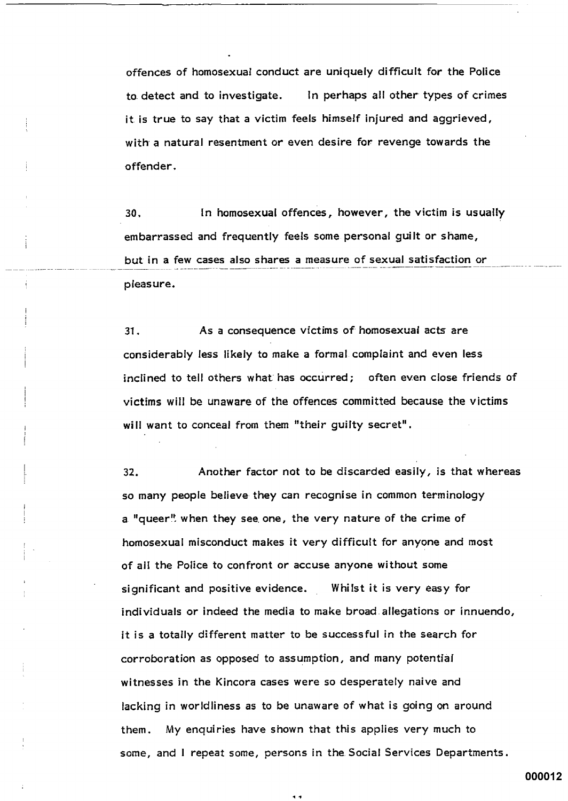offences of homosexual conduct are uniquely difficult for the Police In perhaps all other types of crimes to detect and to investigate. it is true to say that a victim feels himself injured and aggrieved, with a natural resentment or even desire for revenge towards the offender.

In homosexual offences, however, the victim is usually 30. embarrassed and frequently feels some personal guilt or shame, but in a few cases also shares a measure of sexual satisfaction or pleasure.

 $31.$ As a consequence victims of homosexual acts are considerably less likely to make a formal complaint and even less inclined to tell others what has occurred; often even close friends of victims will be unaware of the offences committed because the victims will want to conceal from them "their guilty secret".

Another factor not to be discarded easily, is that whereas 32. so many people believe they can recognise in common terminology a "queer" when they see one, the very nature of the crime of homosexual misconduct makes it very difficult for anyone and most of all the Police to confront or accuse anyone without some significant and positive evidence. Whilst it is very easy for individuals or indeed the media to make broad allegations or innuendo, it is a totally different matter to be successful in the search for corroboration as opposed to assumption, and many potential witnesses in the Kincora cases were so desperately naive and lacking in worldliness as to be unaware of what is going on around them. My enquiries have shown that this applies very much to some, and I repeat some, persons in the Social Services Departments.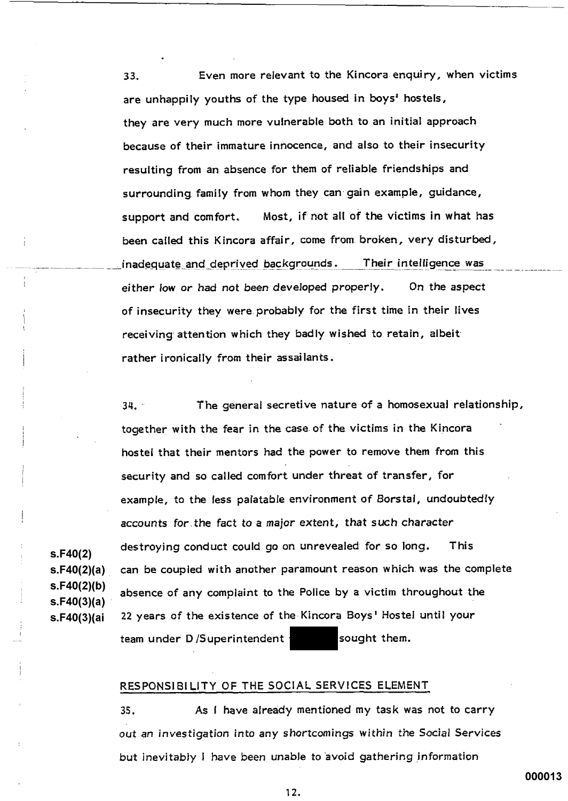Even more relevant to the Kincora enquiry, when victims 33. are unhappily youths of the type housed in boys' hostels, they are very much more vulnerable both to an initial approach because of their immature innocence, and also to their insecurity resulting from an absence for them of reliable friendships and surrounding family from whom they can gain example, guidance, Most, if not all of the victims in what has support and comfort. been called this Kincora affair, come from broken, very disturbed, inadequate\_and\_deprived\_backgrounds. Their intelligence was either low or had not been developed properly. On the aspect of insecurity they were probably for the first time in their lives receiving attention which they badly wished to retain, albeit rather ironically from their assailants.

The general secretive nature of a homosexual relationship,  $34.$ together with the fear in the case of the victims in the Kincora hostel that their mentors had the power to remove them from this security and so called comfort under threat of transfer, for example, to the less palatable environment of Borstal, undoubtedly accounts for the fact to a major extent, that such character destroying conduct could go on unrevealed for so long. **This**  $s.F40(2)(a)$ can be coupled with another paramount reason which was the complete  $s.F40(2)(b)$ absence of any complaint to the Police by a victim throughout the  $s.F40(3)(a)$ 22 years of the existence of the Kincora Boys' Hostel until your s.F40(3)(ai team under D/Superintendent sought them.

#### RESPONSIBILITY OF THE SOCIAL SERVICES ELEMENT

 $s.F40(2)$ 

As I have already mentioned my task was not to carry  $35.$ out an investigation into any shortcomings within the Social Services but inevitably I have been unable to avoid gathering information

000013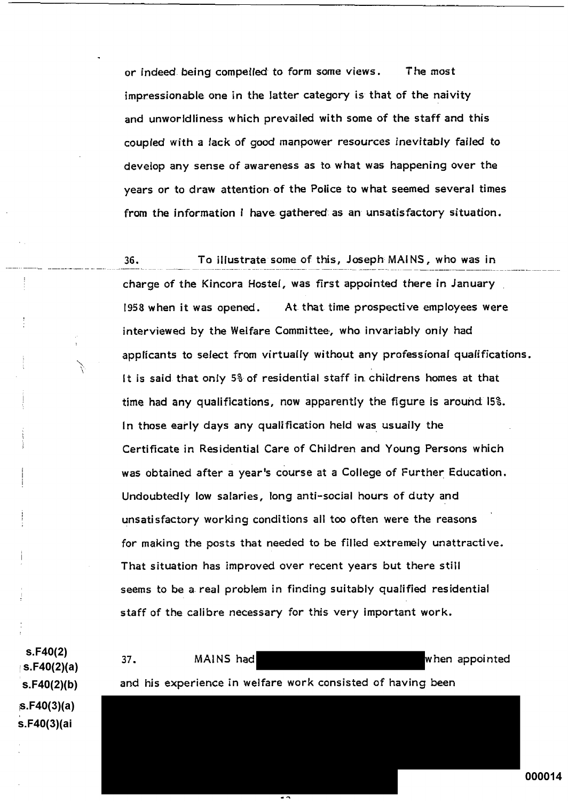or indeed being compelled to form some views. The most impressionable one in the latter category is that of the naivity and unworldliness which prevailed with some of the staff and this coupled with a lack of good manpower resources inevitably failed to develop any sense of awareness as to what was happening over the years or to draw attention of the Police to what seemed several times from the information I have gathered as an unsatisfactory situation.

36. To illustrate some of this, Joseph MAINS, who was in charge of the Kincora Hostel, was first appointed there in January At that time prospective employees were 1958 when it was opened. interviewed by the Welfare Committee, who invariably only had applicants to select from virtually without any professional qualifications. It is said that only 5% of residential staff in childrens homes at that time had any qualifications, now apparently the figure is around 15%. In those early days any qualification held was usually the Certificate in Residential Care of Children and Young Persons which was obtained after a year's course at a College of Further Education. Undoubtedly low salaries, long anti-social hours of duty and unsatisfactory working conditions all too often were the reasons for making the posts that needed to be filled extremely unattractive. That situation has improved over recent years but there still seems to be a real problem in finding suitably qualified residential staff of the calibre necessary for this very important work.

MAINS had

and his experience in welfare work consisted of having been

 $S.F40(2)$  $s.F40(2)(a)$  $s.F40(2)(b)$  $s.F40(3)(a)$ s.F40(3)(ai

37.

000014

when appointed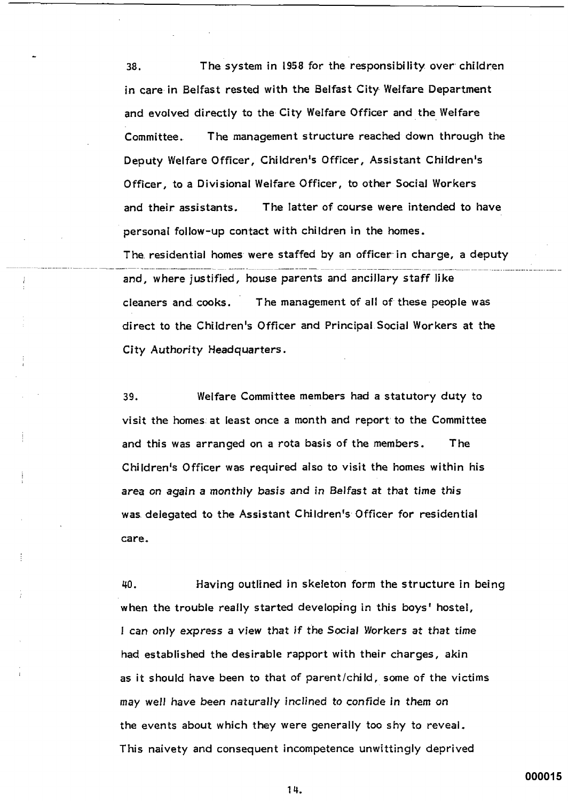The system in 1958 for the responsibility over children 38. in care in Belfast rested with the Belfast City Welfare Department and evolved directly to the City Welfare Officer and the Welfare The management structure reached down through the Committee. Deputy Welfare Officer, Children's Officer, Assistant Children's Officer, to a Divisional Welfare Officer, to other Social Workers The latter of course were intended to have and their assistants. personal follow-up contact with children in the homes. The residential homes were staffed by an officer in charge, a deputy and, where justified, house parents and ancillary staff like cleaners and cooks. The management of all of these people was direct to the Children's Officer and Principal Social Workers at the City Authority Headquarters.

Welfare Committee members had a statutory duty to 39. visit the homes at least once a month and report to the Committee and this was arranged on a rota basis of the members. The Children's Officer was required also to visit the homes within his area on again a monthly basis and in Belfast at that time this was delegated to the Assistant Children's Officer for residential care.

Having outlined in skeleton form the structure in being 40. when the trouble really started developing in this boys' hostel, I can only express a view that if the Social Workers at that time had established the desirable rapport with their charges, akin as it should have been to that of parent/child, some of the victims may well have been naturally inclined to confide in them on the events about which they were generally too shy to reveal. This naivety and consequent incompetence unwittingly deprived

000015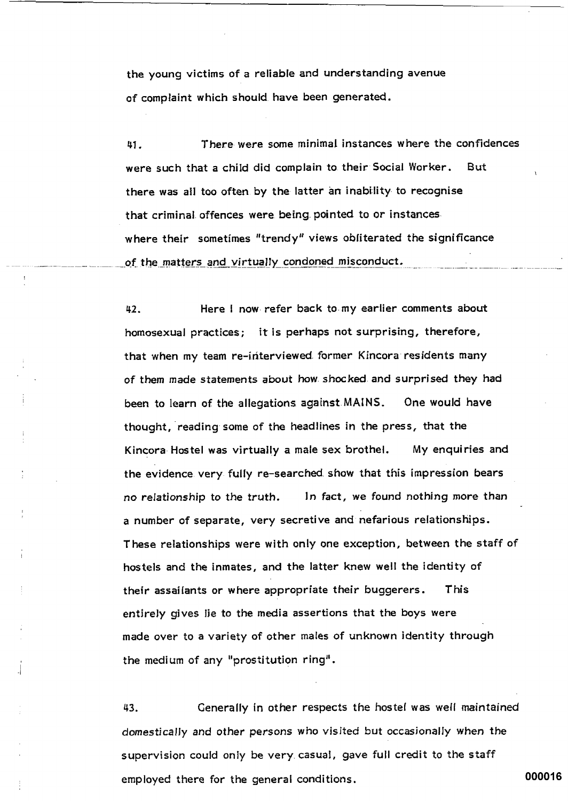the young victims of a reliable and understanding avenue of complaint which should have been generated.

There were some minimal instances where the confidences 41. were such that a child did complain to their Social Worker. **But** there was all too often by the latter an inability to recognise that criminal offences were being pointed to or instances. where their sometimes "trendy" views obliterated the significance of the matters and virtually condoned misconduct.

42. Here I now refer back to my earlier comments about homosexual practices; it is perhaps not surprising, therefore, that when my team re-interviewed former Kincora residents many of them made statements about how shocked and surprised they had been to learn of the allegations against MAINS. One would have thought, reading some of the headlines in the press, that the Kincora Hostel was virtually a male sex brothel. My enquiries and the evidence very fully re-searched show that this impression bears In fact, we found nothing more than no relationship to the truth. a number of separate, very secretive and nefarious relationships. These relationships were with only one exception, between the staff of hostels and the inmates, and the latter knew well the identity of their assailants or where appropriate their buggerers. This entirely gives lie to the media assertions that the boys were made over to a variety of other males of unknown identity through the medium of any "prostitution ring".

43. Generally in other respects the hostel was well maintained domestically and other persons who visited but occasionally when the supervision could only be very casual, gave full credit to the staff employed there for the general conditions.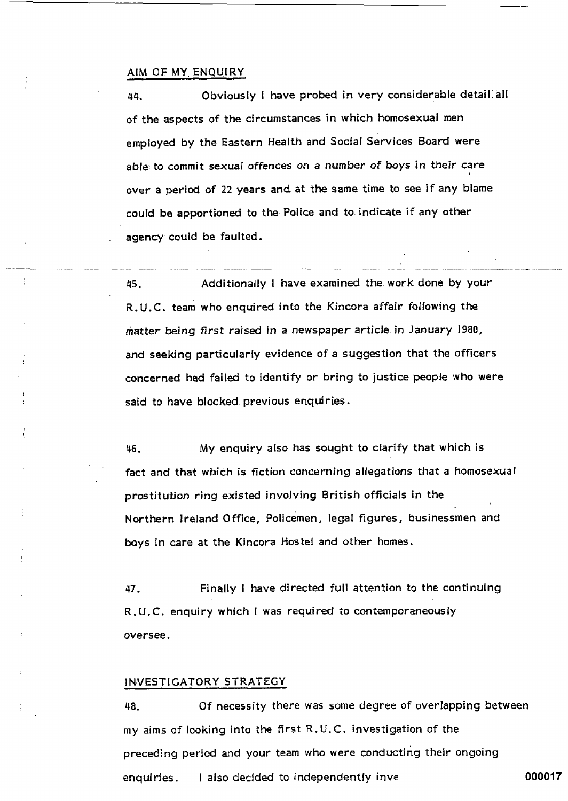#### AIM OF MY ENQUIRY

 $\frac{1}{2}$ 

Obviously I have probed in very considerable detail all 44. of the aspects of the circumstances in which homosexual men employed by the Eastern Health and Social Services Board were able to commit sexual offences on a number of boys in their care over a period of 22 years and at the same time to see if any blame could be apportioned to the Police and to indicate if any other agency could be faulted.

Additionally I have examined the work done by your 45. R.U.C. team who enquired into the Kincora affair following the matter being first raised in a newspaper article in January 1980, and seeking particularly evidence of a suggestion that the officers concerned had failed to identify or bring to justice people who were said to have blocked previous enquiries.

46. My enquiry also has sought to clarify that which is fact and that which is fiction concerning allegations that a homosexual prostitution ring existed involving British officials in the Northern Ireland Office, Policemen, legal figures, businessmen and boys in care at the Kincora Hostel and other homes.

Finally I have directed full attention to the continuing 47. R.U.C. enquiry which I was required to contemporaneously oversee.

#### INVESTIGATORY STRATEGY

Of necessity there was some degree of overlapping between 48. my aims of looking into the first R.U.C. investigation of the preceding period and your team who were conducting their ongoing 000017 I also decided to independently inve enquiries.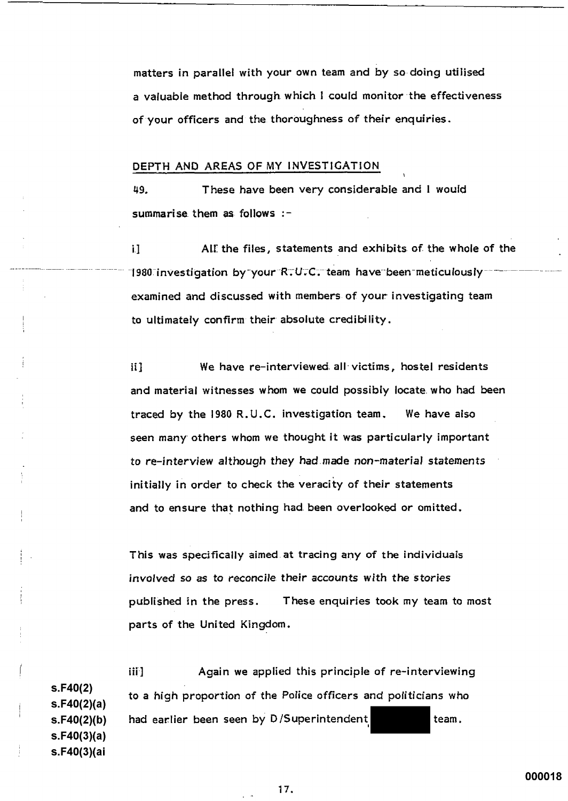matters in parallel with your own team and by so doing utilised a valuable method through which I could monitor the effectiveness of your officers and the thoroughness of their enquiries.

#### DEPTH AND AREAS OF MY INVESTIGATION

These have been very considerable and I would 49. summarise them as follows :-

AIE the files, statements and exhibits of the whole of the  $\mathbf{i}$ 1980 investigation by your R.U.C. team have been meticulously examined and discussed with members of your investigating team to ultimately confirm their absolute credibility.

ii1 We have re-interviewed all victims, hostel residents and material witnesses whom we could possibly locate who had been traced by the 1980 R.U.C. investigation team, We have also seen many others whom we thought it was particularly important to re-interview although they had made non-material statements initially in order to check the veracity of their statements and to ensure that nothing had been overlooked or omitted.

This was specifically aimed at tracing any of the individuals involved so as to reconcile their accounts with the stories published in the press. These enquiries took my team to most parts of the United Kingdom.

Again we applied this principle of re-interviewing iii ]  $S.F40(2)$ to a high proportion of the Police officers and politicians who  $s.F40(2)(a)$ had earlier been seen by D/Superintendent team. s.F40(2)(b)  $s.F40(3)(a)$ s.F40(3)(ai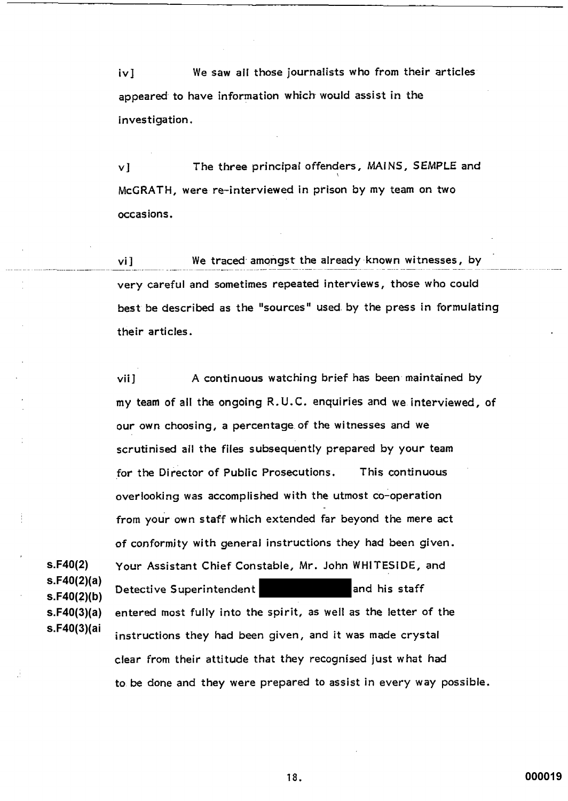We saw all those journalists who from their articles  $iv]$ appeared to have information which would assist in the investigation.

The three principal offenders, MAINS, SEMPLE and vI McGRATH, were re-interviewed in prison by my team on two occasions.

We traced amongst the already known witnesses, by vi 1 very careful and sometimes repeated interviews, those who could best be described as the "sources" used by the press in formulating their articles.

A continuous watching brief has been maintained by vii ] my team of all the ongoing R.U.C. enguiries and we interviewed, of our own choosing, a percentage of the witnesses and we scrutinised all the files subsequently prepared by your team for the Director of Public Prosecutions. This continuous overlooking was accomplished with the utmost co-operation from your own staff which extended far beyond the mere act of conformity with general instructions they had been given. Your Assistant Chief Constable, Mr. John WHITESIDE, and Detective Superintendent and his staff entered most fully into the spirit, as well as the letter of the instructions they had been given, and it was made crystal clear from their attitude that they recognised just what had to be done and they were prepared to assist in every way possible.

000019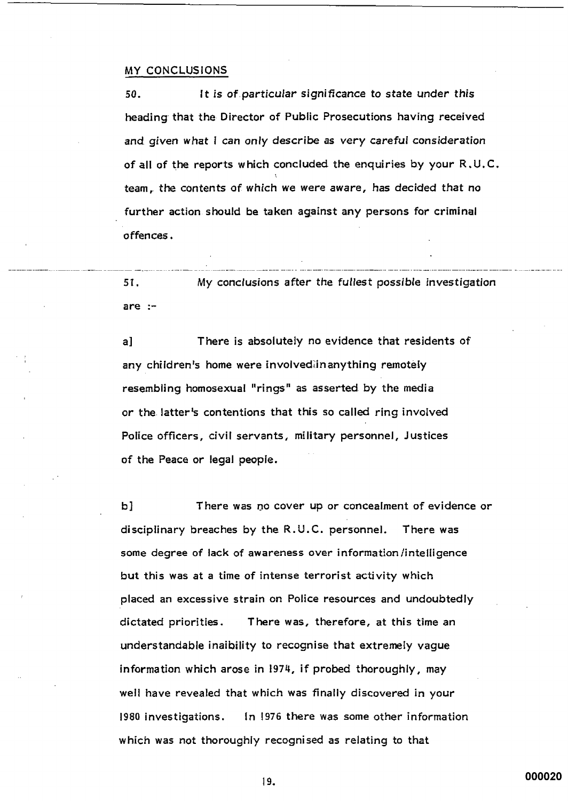#### MY CONCLUSIONS

It is of particular significance to state under this 50. heading that the Director of Public Prosecutions having received and given what I can only describe as very careful consideration of all of the reports which concluded the enquiries by your R.U.C. team, the contents of which we were aware, has decided that no further action should be taken against any persons for criminal offences.

My conclusions after the fullest possible investigation 51. are  $:$ -

al There is absolutely no evidence that residents of any children's home were involved in anything remotely resembling homosexual "rings" as asserted by the media or the latter's contentions that this so called ring involved Police officers, civil servants, military personnel, Justices of the Peace or legal people.

There was no cover up or concealment of evidence or b l disciplinary breaches by the R.U.C. personnel. There was some degree of lack of awareness over information/intelligence but this was at a time of intense terrorist activity which placed an excessive strain on Police resources and undoubtedly dictated priorities. There was, therefore, at this time an understandable inaibility to recognise that extremely vague information which arose in 1974, if probed thoroughly, may well have revealed that which was finally discovered in your 1980 investigations. In 1976 there was some other information which was not thoroughly recognised as relating to that

000020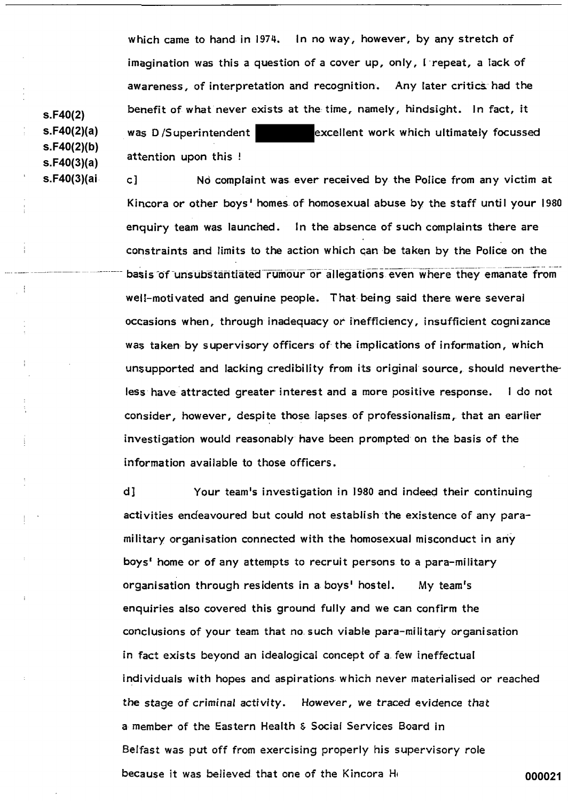which came to hand in 1974. In no way, however, by any stretch of imagination was this a question of a cover up, only, I repeat, a lack of awareness, of interpretation and recognition. Any later critics had the benefit of what never exists at the time, namely, hindsight. In fact, it excellent work which ultimately focussed was D/Superintendent attention upon this !

No complaint was ever received by the Police from any victim at c] Kincora or other boys' homes of homosexual abuse by the staff until your 1980 enguiry team was launched. In the absence of such complaints there are constraints and limits to the action which can be taken by the Police on the basis of unsubstantiated rumour or allegations even where they emanate from well-motivated and genuine people. That being said there were several occasions when, through inadequacy or inefficiency, insufficient cognizance was taken by supervisory officers of the implications of information, which unsupported and lacking credibility from its original source, should nevertheless have attracted greater interest and a more positive response. I do not consider, however, despite those lapses of professionalism, that an earlier investigation would reasonably have been prompted on the basis of the information available to those officers.

 $d1$ Your team's investigation in 1980 and indeed their continuing activities endeavoured but could not establish the existence of any paramilitary organisation connected with the homosexual misconduct in any boys' home or of any attempts to recruit persons to a para-military organisation through residents in a boys' hostel. My team's enquiries also covered this ground fully and we can confirm the conclusions of your team that no such viable para-military organisation in fact exists beyond an idealogical concept of a few ineffectual individuals with hopes and aspirations which never materialised or reached the stage of criminal activity. However, we traced evidence that a member of the Eastern Health & Social Services Board in Belfast was put off from exercising properly his supervisory role because it was believed that one of the Kincora He 000021

 $s.F40(2)$  $s.F40(2)(a)$  $s.F40(2)(b)$  $s.F40(3)(a)$ s.F40(3)(ai

 $\frac{1}{2}$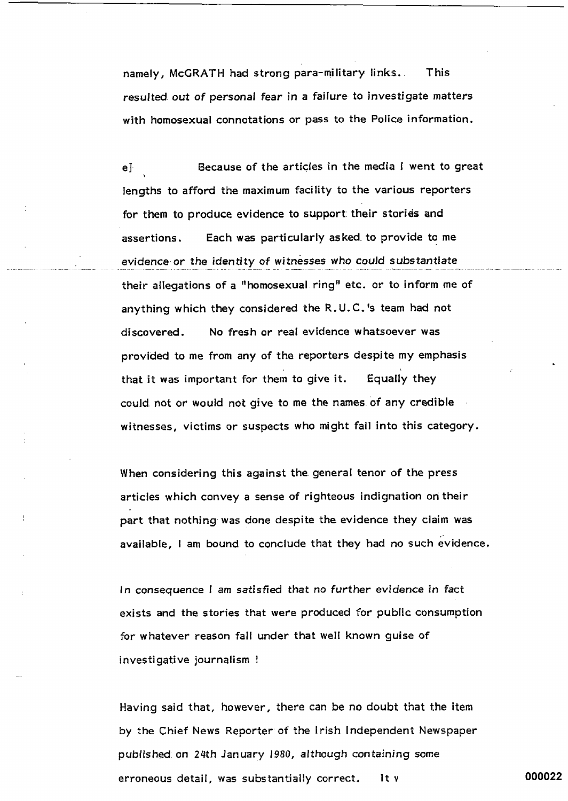namely, McGRATH had strong para-military links. This resulted out of personal fear in a failure to investigate matters with homosexual connotations or pass to the Police information.

Because of the articles in the media I went to great eŀ lengths to afford the maximum facility to the various reporters for them to produce evidence to support their stories and Each was particularly asked to provide to me assertions. evidence or the identity of witnesses who could substantiate their allegations of a "homosexual ring" etc. or to inform me of anything which they considered the R.U.C.'s team had not No fresh or real evidence whatsoever was discovered. provided to me from any of the reporters despite my emphasis that it was important for them to give it. Equally they could not or would not give to me the names of any credible witnesses, victims or suspects who might fall into this category.

When considering this against the general tenor of the press articles which convey a sense of righteous indignation on their part that nothing was done despite the evidence they claim was available, I am bound to conclude that they had no such evidence.

In consequence I am satisfied that no further evidence in fact exists and the stories that were produced for public consumption for whatever reason fall under that well known guise of investigative journalism !

Having said that, however, there can be no doubt that the item by the Chief News Reporter of the Irish Independent Newspaper published on 24th January 1980, although containing some erroneous detail, was substantially correct. It y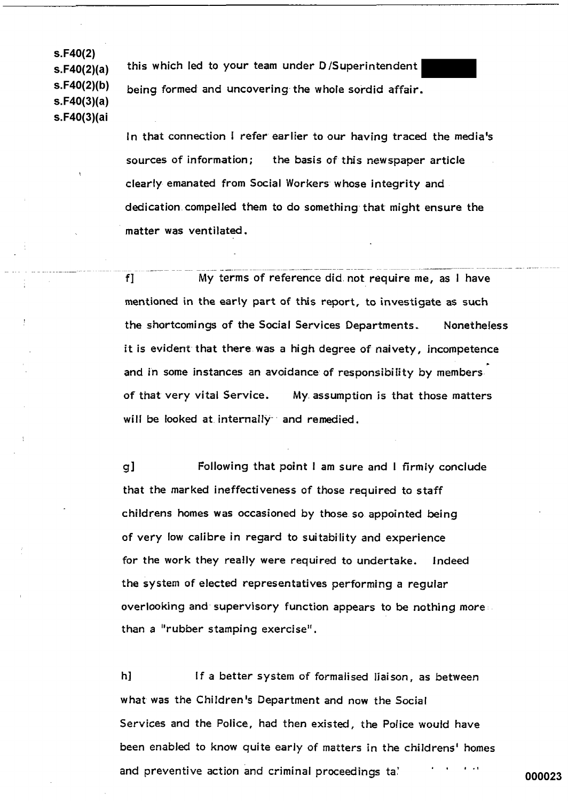$s.F40(2)$  $s.F40(2)(a)$  $s.F40(2)(b)$  $s.F40(3)(a)$ s.F40(3)(ai

this which led to your team under D/Superintendent being formed and uncovering the whole sordid affair.

In that connection I refer earlier to our having traced the media's sources of information; the basis of this newspaper article clearly emanated from Social Workers whose integrity and dedication compelled them to do something that might ensure the matter was ventilated.

f] My terms of reference did not require me, as I have mentioned in the early part of this report, to investigate as such the shortcomings of the Social Services Departments. **Nonetheless** it is evident that there was a high degree of naivety, incompetence and in some instances an avoidance of responsibility by members. of that very vital Service. My assumption is that those matters will be looked at internally and remedied.

g] Following that point I am sure and I firmly conclude that the marked ineffectiveness of those required to staff childrens homes was occasioned by those so appointed being of very low calibre in regard to suitability and experience for the work they really were required to undertake. Indeed the system of elected representatives performing a regular overlooking and supervisory function appears to be nothing more than a "rubber stamping exercise".

h] If a better system of formalised liaison, as between what was the Children's Department and now the Social Services and the Police, had then existed, the Police would have been enabled to know quite early of matters in the childrens' homes and preventive action and criminal proceedings tal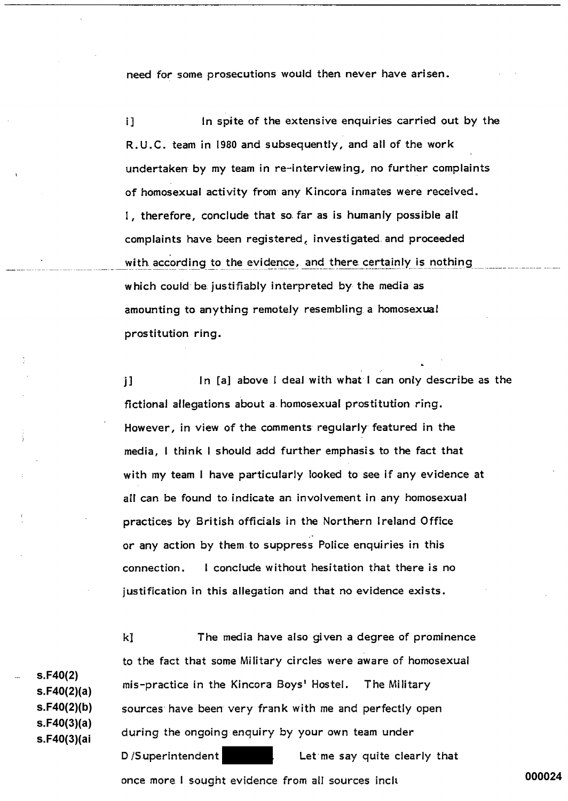need for some prosecutions would then never have arisen.

 $i<sub>1</sub>$ In spite of the extensive enquiries carried out by the R.U.C. team in 1980 and subsequently, and all of the work undertaken by my team in re-interviewing, no further complaints of homosexual activity from any Kincora inmates were received. I, therefore, conclude that so far as is humanly possible all complaints have been registered, investigated and proceeded with according to the evidence, and there certainly is nothing which could be justifiably interpreted by the media as amounting to anything remotely resembling a homosexual prostitution ring.

In [a] above I deal with what I can only describe as the  $\mathbf{1}$ fictional allegations about a homosexual prostitution ring. However, in view of the comments requiarly featured in the media, I think I should add further emphasis to the fact that with my team I have particularly looked to see if any evidence at all can be found to indicate an involvement in any homosexual practices by British officials in the Northern Ireland Office or any action by them to suppress Police enquiries in this I conclude without hesitation that there is no connection. justification in this allegation and that no evidence exists.

 $s.F40(2)$  $s.F40(2)(a)$  $s.F40(2)(b)$  $s.F40(3)(a)$ s.F40(3)(ai

kl The media have also given a degree of prominence to the fact that some Military circles were aware of homosexual mis-practice in the Kincora Boys' Hostel. The Military sources have been very frank with me and perfectly open during the ongoing enquiry by your own team under D/Superintendent Let me say quite clearly that once more I sought evidence from all sources inclu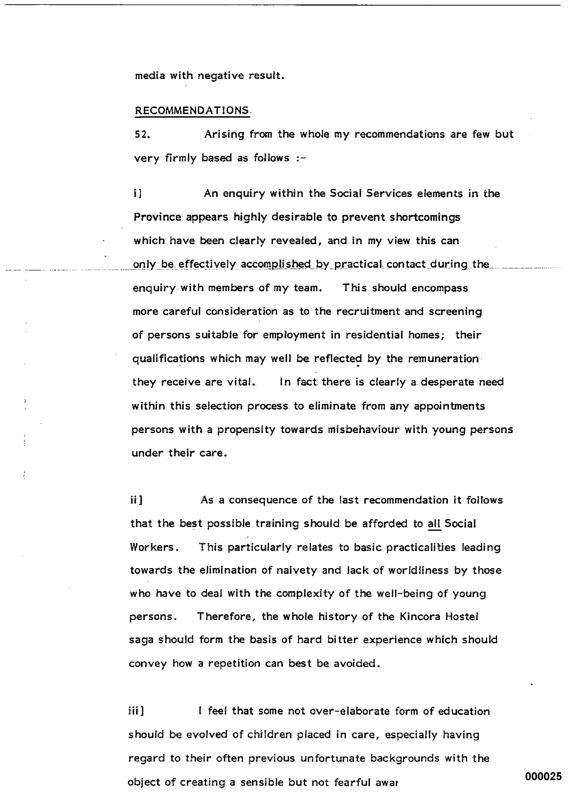media with negative result.

#### RECOMMENDATIONS.

 $52.$ Arising from the whole my recommendations are few but very firmly based as follows :-

 $\mathbf{i}$ An enquiry within the Social Services elements in the Province appears highly desirable to prevent shortcomings which have been clearly revealed, and in my view this can only be effectively accomplished by practical contact during the enquiry with members of my team. This should encompass more careful consideration as to the recruitment and screening of persons suitable for employment in residential homes; their qualifications which may well be reflected by the remuneration they receive are vital. In fact there is clearly a desperate need within this selection process to eliminate from any appointments persons with a propensity towards misbehaviour with young persons under their care.

ii ] As a consequence of the last recommendation it follows that the best possible training should be afforded to all Social This particularly relates to basic practicalities leading Workers. towards the elimination of naivety and lack of worldliness by those who have to deal with the complexity of the well-being of young Therefore, the whole history of the Kincora Hostel persons. saga should form the basis of hard bitter experience which should convey how a repetition can best be avoided.

I feel that some not over-elaborate form of education iii 1 should be evolved of children placed in care, especially having regard to their often previous unfortunate backgrounds with the object of creating a sensible but not fearful awar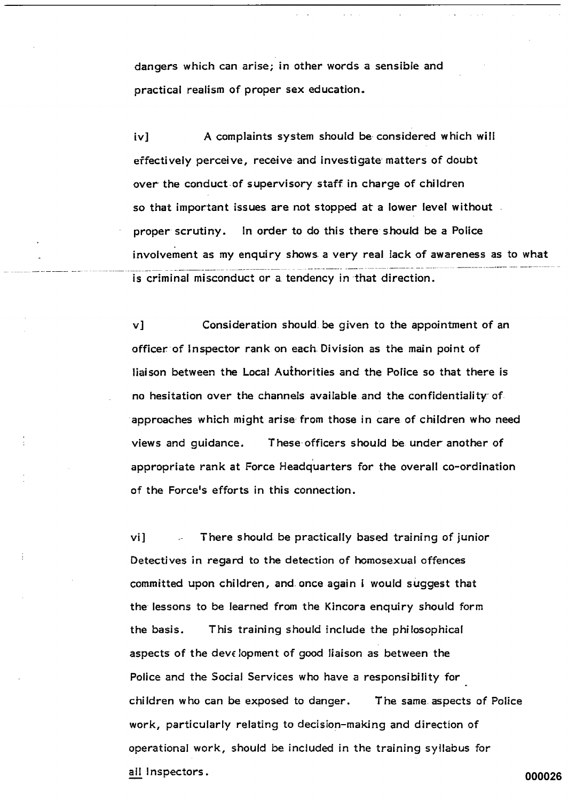dangers which can arise; in other words a sensible and practical realism of proper sex education.

A complaints system should be considered which will iv] effectively perceive, receive and investigate matters of doubt over the conduct of supervisory staff in charge of children so that important issues are not stopped at a lower level without. proper scrutiny. In order to do this there should be a Police involvement as my enquiry shows a very real lack of awareness as to what is criminal misconduct or a tendency in that direction.

Consideration should be given to the appointment of an v] officer of Inspector rank on each Division as the main point of liaison between the Local Authorities and the Police so that there is no hesitation over the channels available and the confidentiality of approaches which might arise from those in care of children who need These officers should be under another of views and quidance. appropriate rank at Force Headquarters for the overall co-ordination of the Force's efforts in this connection.

vi1 There should be practically based training of junior Detectives in regard to the detection of homosexual offences committed upon children, and once again I would suggest that the lessons to be learned from the Kincora enquiry should form the basis. This training should include the philosophical aspects of the development of good liaison as between the Police and the Social Services who have a responsibility for children who can be exposed to danger. The same aspects of Police work, particularly relating to decision-making and direction of operational work, should be included in the training syllabus for all Inspectors.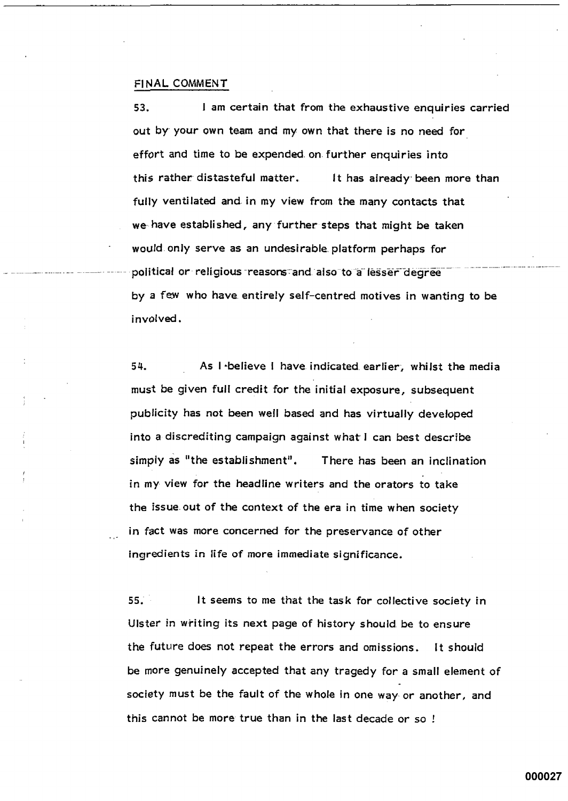#### FINAL COMMENT

53. I am certain that from the exhaustive enquiries carried out by your own team and my own that there is no need for effort and time to be expended on further enquiries into this rather distasteful matter. It has already been more than fully ventilated and in my view from the many contacts that we have established, any further steps that might be taken would only serve as an undesirable platform perhaps for political or religious reasons and also to a lesser degree by a few who have entirely self-centred motives in wanting to be involved.

54. As I believe I have indicated earlier, whilst the media must be given full credit for the initial exposure, subsequent publicity has not been well based and has virtually developed into a discrediting campaign against what I can best describe simply as "the establishment". There has been an inclination in my view for the headline writers and the orators to take the issue out of the context of the era in time when society in fact was more concerned for the preservance of other ingredients in life of more immediate significance.

 $55.$ It seems to me that the task for collective society in Ulster in writing its next page of history should be to ensure the future does not repeat the errors and omissions. It should be more genuinely accepted that any tragedy for a small element of society must be the fault of the whole in one way or another, and this cannot be more true than in the last decade or so !